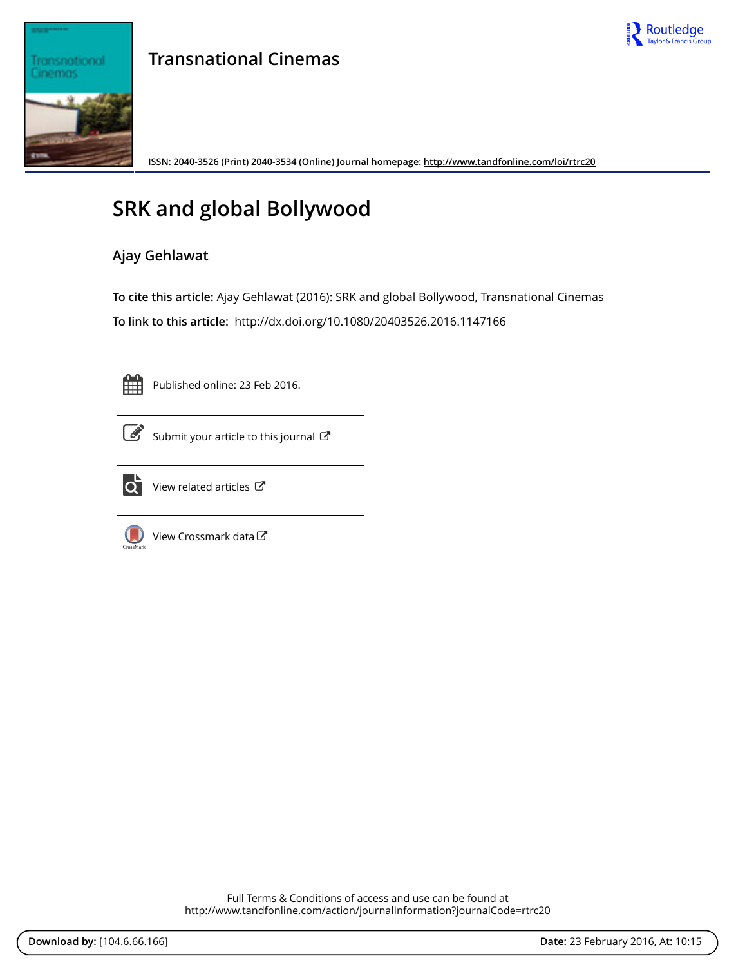

## Transnational Cinemas

**Transnational Cinemas**

**ISSN: 2040-3526 (Print) 2040-3534 (Online) Journal homepage:<http://www.tandfonline.com/loi/rtrc20>**

## **SRK and global Bollywood**

## **Ajay Gehlawat**

**To cite this article:** Ajay Gehlawat (2016): SRK and global Bollywood, Transnational Cinemas **To link to this article:** <http://dx.doi.org/10.1080/20403526.2016.1147166>



Published online: 23 Feb 2016.



 $\overrightarrow{S}$  [Submit your article to this journal](http://www.tandfonline.com/action/authorSubmission?journalCode=rtrc20&page=instructions)  $\overrightarrow{S}$ 



 $\overrightarrow{Q}$  [View related articles](http://www.tandfonline.com/doi/mlt/10.1080/20403526.2016.1147166)  $\overrightarrow{C}$ 



 $\bigcirc$  [View Crossmark data](http://crossmark.crossref.org/dialog/?doi=10.1080/20403526.2016.1147166&domain=pdf&date_stamp=2016-02-23) $\mathbb{Z}$ 

Full Terms & Conditions of access and use can be found at <http://www.tandfonline.com/action/journalInformation?journalCode=rtrc20>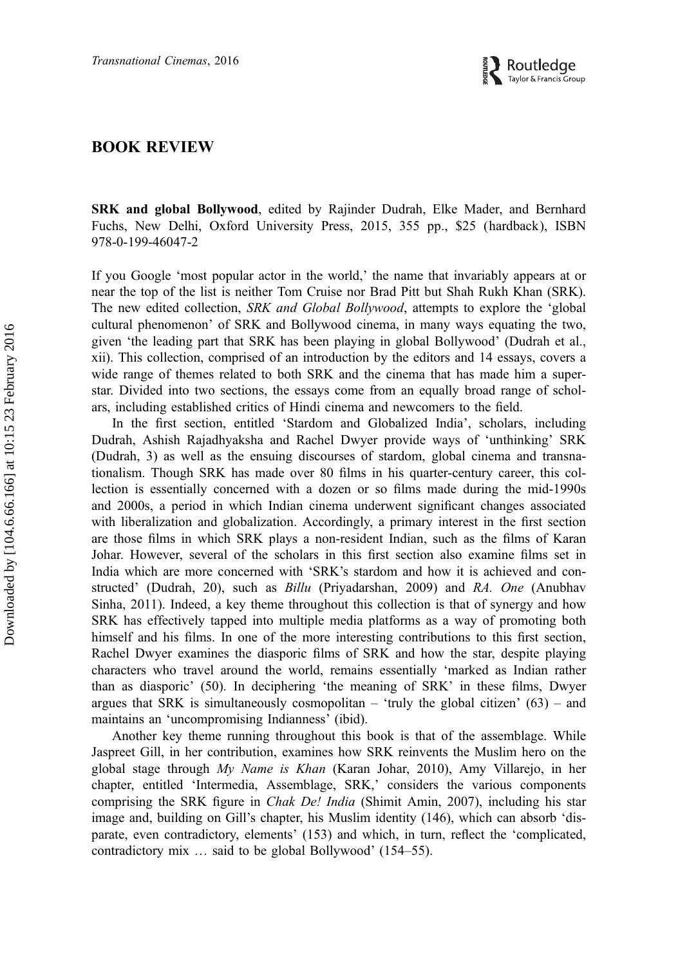

## BOOK REVIEW

SRK and global Bollywood, edited by Rajinder Dudrah, Elke Mader, and Bernhard Fuchs, New Delhi, Oxford University Press, 2015, 355 pp., \$25 (hardback), ISBN 978-0-199-46047-2

If you Google 'most popular actor in the world,' the name that invariably appears at or near the top of the list is neither Tom Cruise nor Brad Pitt but Shah Rukh Khan (SRK). The new edited collection, SRK and Global Bollywood, attempts to explore the 'global cultural phenomenon' of SRK and Bollywood cinema, in many ways equating the two, given 'the leading part that SRK has been playing in global Bollywood' (Dudrah et al., xii). This collection, comprised of an introduction by the editors and 14 essays, covers a wide range of themes related to both SRK and the cinema that has made him a superstar. Divided into two sections, the essays come from an equally broad range of scholars, including established critics of Hindi cinema and newcomers to the field.

In the first section, entitled 'Stardom and Globalized India', scholars, including Dudrah, Ashish Rajadhyaksha and Rachel Dwyer provide ways of 'unthinking' SRK (Dudrah, 3) as well as the ensuing discourses of stardom, global cinema and transnationalism. Though SRK has made over 80 films in his quarter-century career, this collection is essentially concerned with a dozen or so films made during the mid-1990s and 2000s, a period in which Indian cinema underwent significant changes associated with liberalization and globalization. Accordingly, a primary interest in the first section are those films in which SRK plays a non-resident Indian, such as the films of Karan Johar. However, several of the scholars in this first section also examine films set in India which are more concerned with 'SRK's stardom and how it is achieved and constructed' (Dudrah, 20), such as Billu (Priyadarshan, 2009) and RA. One (Anubhav Sinha, 2011). Indeed, a key theme throughout this collection is that of synergy and how SRK has effectively tapped into multiple media platforms as a way of promoting both himself and his films. In one of the more interesting contributions to this first section, Rachel Dwyer examines the diasporic films of SRK and how the star, despite playing characters who travel around the world, remains essentially 'marked as Indian rather than as diasporic' (50). In deciphering 'the meaning of SRK' in these films, Dwyer argues that SRK is simultaneously cosmopolitan – 'truly the global citizen'  $(63)$  – and maintains an 'uncompromising Indianness' (ibid).

Another key theme running throughout this book is that of the assemblage. While Jaspreet Gill, in her contribution, examines how SRK reinvents the Muslim hero on the global stage through My Name is Khan (Karan Johar, 2010), Amy Villarejo, in her chapter, entitled 'Intermedia, Assemblage, SRK,' considers the various components comprising the SRK figure in *Chak De! India* (Shimit Amin, 2007), including his star image and, building on Gill's chapter, his Muslim identity (146), which can absorb 'disparate, even contradictory, elements' (153) and which, in turn, reflect the 'complicated, contradictory mix … said to be global Bollywood' (154–55).